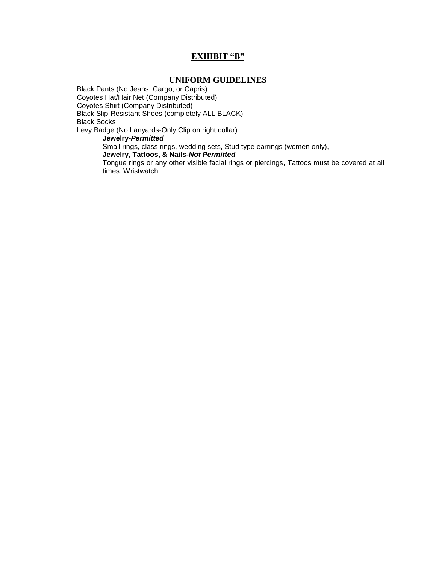### **EXHIBIT "B"**

#### **UNIFORM GUIDELINES**

Black Pants (No Jeans, Cargo, or Capris) Coyotes Hat/Hair Net (Company Distributed) Coyotes Shirt (Company Distributed) Black Slip-Resistant Shoes (completely ALL BLACK) Black Socks Levy Badge (No Lanyards-Only Clip on right collar) **Jewelry***-Permitted*

Small rings, class rings, wedding sets, Stud type earrings (women only),

**Jewelry, Tattoos, & Nails-***Not Permitted*

Tongue rings or any other visible facial rings or piercings, Tattoos must be covered at all times. Wristwatch